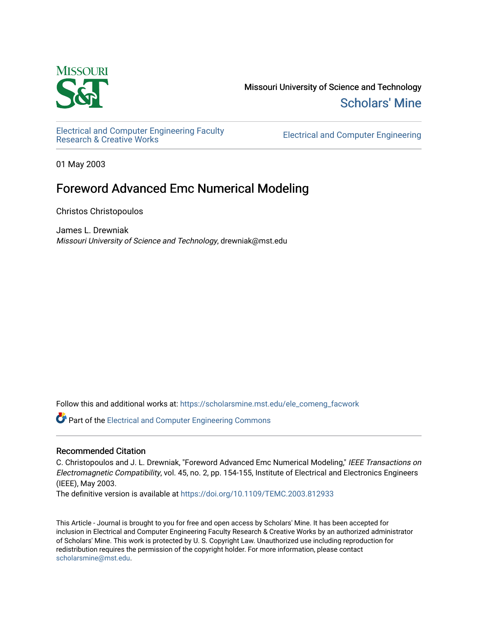

Missouri University of Science and Technology [Scholars' Mine](https://scholarsmine.mst.edu/) 

[Electrical and Computer Engineering Faculty](https://scholarsmine.mst.edu/ele_comeng_facwork)

**Electrical and Computer Engineering** 

01 May 2003

## Foreword Advanced Emc Numerical Modeling

Christos Christopoulos

James L. Drewniak Missouri University of Science and Technology, drewniak@mst.edu

Follow this and additional works at: [https://scholarsmine.mst.edu/ele\\_comeng\\_facwork](https://scholarsmine.mst.edu/ele_comeng_facwork?utm_source=scholarsmine.mst.edu%2Fele_comeng_facwork%2F1638&utm_medium=PDF&utm_campaign=PDFCoverPages)

**P** Part of the Electrical and Computer Engineering Commons

## Recommended Citation

C. Christopoulos and J. L. Drewniak, "Foreword Advanced Emc Numerical Modeling," IEEE Transactions on Electromagnetic Compatibility, vol. 45, no. 2, pp. 154-155, Institute of Electrical and Electronics Engineers (IEEE), May 2003.

The definitive version is available at <https://doi.org/10.1109/TEMC.2003.812933>

This Article - Journal is brought to you for free and open access by Scholars' Mine. It has been accepted for inclusion in Electrical and Computer Engineering Faculty Research & Creative Works by an authorized administrator of Scholars' Mine. This work is protected by U. S. Copyright Law. Unauthorized use including reproduction for redistribution requires the permission of the copyright holder. For more information, please contact [scholarsmine@mst.edu.](mailto:scholarsmine@mst.edu)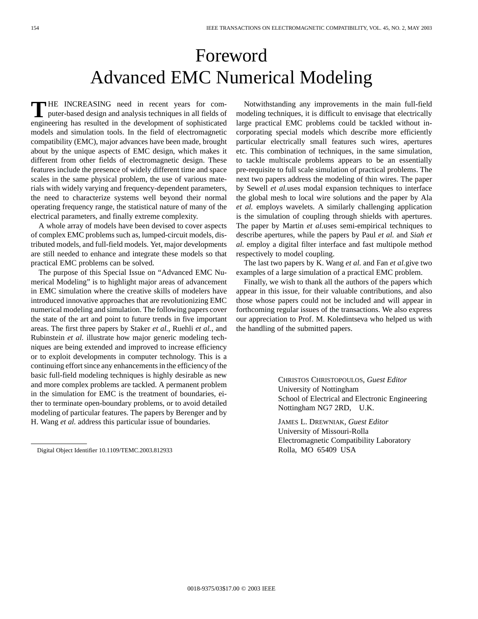## Foreword Advanced EMC Numerical Modeling

**T** HE INCREASING need in recent years for computer-based design and analysis techniques in all fields of engineering has resulted in the development of sophisticated models and simulation tools. In the field of electromagnetic compatibility (EMC), major advances have been made, brought about by the unique aspects of EMC design, which makes it different from other fields of electromagnetic design. These features include the presence of widely different time and space scales in the same physical problem, the use of various materials with widely varying and frequency-dependent parameters, the need to characterize systems well beyond their normal operating frequency range, the statistical nature of many of the electrical parameters, and finally extreme complexity.

A whole array of models have been devised to cover aspects of complex EMC problems such as, lumped-circuit models, distributed models, and full-field models. Yet, major developments are still needed to enhance and integrate these models so that practical EMC problems can be solved.

The purpose of this Special Issue on "Advanced EMC Numerical Modeling" is to highlight major areas of advancement in EMC simulation where the creative skills of modelers have introduced innovative approaches that are revolutionizing EMC numerical modeling and simulation. The following papers cover the state of the art and point to future trends in five important areas. The first three papers by Staker *et al.*, Ruehli *et al.*, and Rubinstein *et al.* illustrate how major generic modeling techniques are being extended and improved to increase efficiency or to exploit developments in computer technology. This is a continuing effort since any enhancements in the efficiency of the basic full-field modeling techniques is highly desirable as new and more complex problems are tackled. A permanent problem in the simulation for EMC is the treatment of boundaries, either to terminate open-boundary problems, or to avoid detailed modeling of particular features. The papers by Berenger and by H. Wang *et al.* address this particular issue of boundaries.

Notwithstanding any improvements in the main full-field modeling techniques, it is difficult to envisage that electrically large practical EMC problems could be tackled without incorporating special models which describe more efficiently particular electrically small features such wires, apertures etc. This combination of techniques, in the same simulation, to tackle multiscale problems appears to be an essentially pre-requisite to full scale simulation of practical problems. The next two papers address the modeling of thin wires. The paper by Sewell *et al.*uses modal expansion techniques to interface the global mesh to local wire solutions and the paper by Ala *et al.* employs wavelets. A similarly challenging application is the simulation of coupling through shields with apertures. The paper by Martin *et al.*uses semi-empirical techniques to describe apertures, while the papers by Paul *et al.* and *Siah et al.* employ a digital filter interface and fast multipole method respectively to model coupling.

The last two papers by K. Wang *et al.* and Fan *et al.*give two examples of a large simulation of a practical EMC problem.

Finally, we wish to thank all the authors of the papers which appear in this issue, for their valuable contributions, and also those whose papers could not be included and will appear in forthcoming regular issues of the transactions. We also express our appreciation to Prof. M. Koledintseva who helped us with the handling of the submitted papers.

> CHRISTOS CHRISTOPOULOS*, Guest Editor* University of Nottingham School of Electrical and Electronic Engineering Nottingham NG7 2RD, U.K.

JAMES L. DREWNIAK*, Guest Editor* University of Missouri-Rolla Electromagnetic Compatibility Laboratory Rolla, MO 65409 USA

Digital Object Identifier 10.1109/TEMC.2003.812933